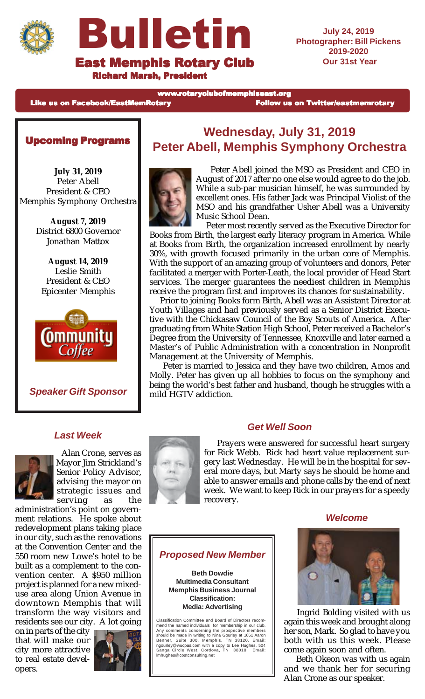



Richard Marsh, President

**July 24, 2019 Photographer: Bill Pickens 2019-2020 Our 31st Year**

www.rotaryclubofmemphiseast.org

Like us on Facebook/EastMemRotary **Follow** us on Twitter/eastmemrotary

## Upcoming Programs

**July 31, 2019** Peter Abell President & CEO Memphis Symphony Orchestra

> **August 7, 2019** District 6800 Governor Jonathan Mattox

**August 14, 2019** Leslie Smith President & CEO Epicenter Memphis



**Speaker Gift Sponsor**

## **Wednesday, July 31, 2019 Peter Abell, Memphis Symphony Orchestra**



 Peter Abell joined the MSO as President and CEO in August of 2017 after no one else would agree to do the job. While a sub-par musician himself, he was surrounded by excellent ones. His father Jack was Principal Violist of the MSO and his grandfather Usher Abell was a University Music School Dean.

 Peter most recently served as the Executive Director for Books from Birth, the largest early literacy program in America. While at Books from Birth, the organization increased enrollment by nearly 30%, with growth focused primarily in the urban core of Memphis. With the support of an amazing group of volunteers and donors, Peter facilitated a merger with Porter-Leath, the local provider of Head Start services. The merger guarantees the neediest children in Memphis receive the program first and improves its chances for sustainability.

 Prior to joining Books form Birth, Abell was an Assistant Director at Youth Villages and had previously served as a Senior District Executive with the Chickasaw Council of the Boy Scouts of America. After graduating from White Station High School, Peter received a Bachelor's Degree from the University of Tennessee, Knoxville and later earned a Master's of Public Administration with a concentration in Nonprofit Management at the University of Memphis.

 Peter is married to Jessica and they have two children, Amos and Molly. Peter has given up all hobbies to focus on the symphony and being the world's best father and husband, though he struggles with a mild HGTV addiction.

## **Last Week**



 Alan Crone, serves as Mayor Jim Strickland's Senior Policy Advisor, advising the mayor on strategic issues and serving as the

administration's point on government relations. He spoke about redevelopment plans taking place in our city, such as the renovations at the Convention Center and the 550 room new Lowe's hotel to be built as a complement to the convention center. A \$950 million project is planned for a new mixeduse area along Union Avenue in downtown Memphis that will transform the way visitors and residents see our city. A lot going

on in parts of the city that will make our city more attractive to real estate developers.





#### **Get Well Soon**

 Prayers were answered for successful heart surgery for Rick Webb. Rick had heart value replacement surgery last Wednesday. He will be in the hospital for several more days, but Marty says he should be home and able to answer emails and phone calls by the end of next week. We want to keep Rick in our prayers for a speedy recovery.

**Welcome**

## **Proposed New Member**

**Beth Dowdie Multimedia Consultant Memphis Business Journal Classification: Media: Advertising**

Classification Committee and Board of Directors recommend the named individuals for membership in our club.<br>Any comments concerning the prospective members<br>should be made in writing to Nina Gourley at 1661 Aaron<br>Benner, Suite 300, Memphis, TN 38120. Email:<br>ngourley@wucpas.co lmhughes@costconsulting.net



 Ingrid Bolding visited with us again this week and brought along her son, Mark. So glad to have you both with us this week. Please come again soon and often.

 Beth Okeon was with us again and we thank her for securing Alan Crone as our speaker.